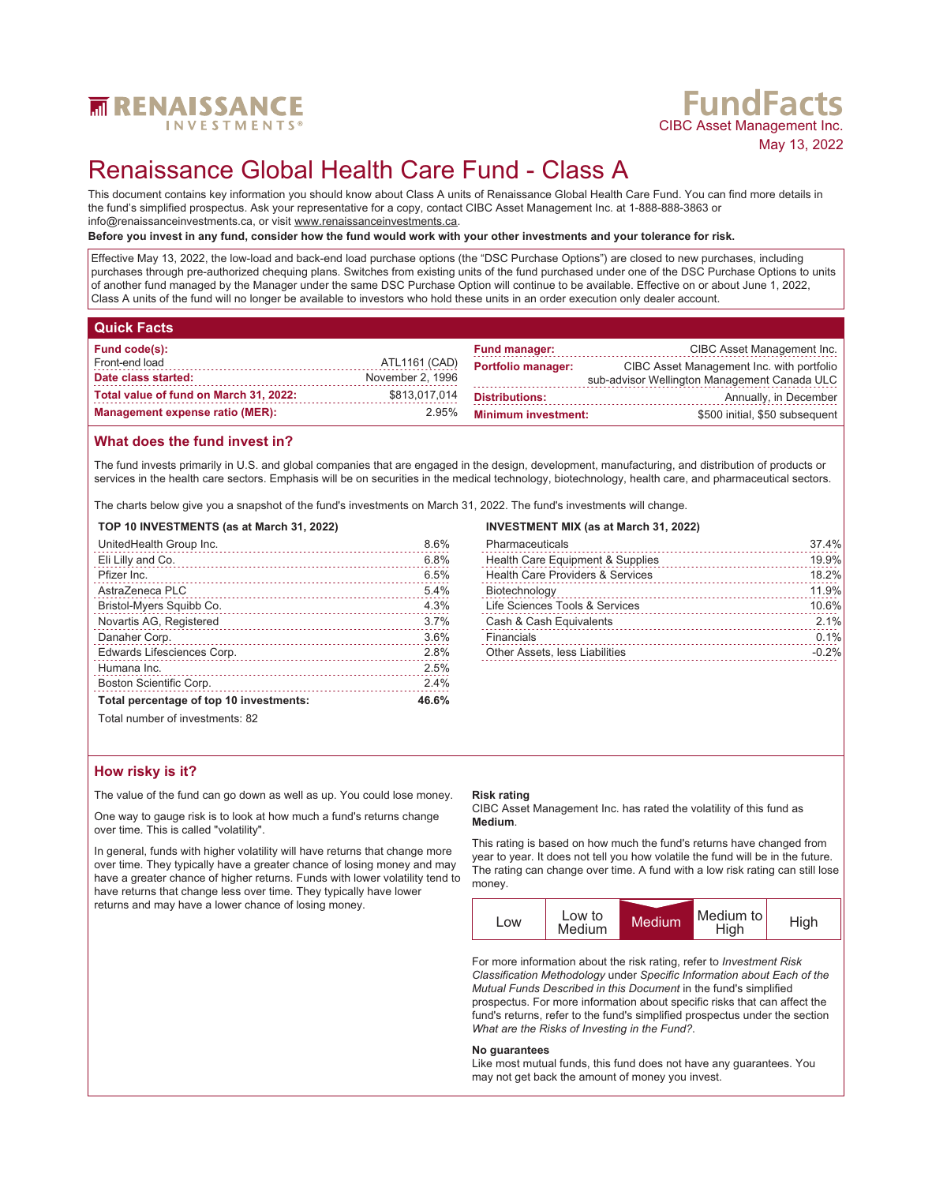

# **FundFacts**<br>CIBC Asset Management Inc. May 13, 2022

## Renaissance Global Health Care Fund - Class A

This document contains key information you should know about Class A units of Renaissance Global Health Care Fund. You can find more details in the fund's simplified prospectus. Ask your representative for a copy, contact CIBC Asset Management Inc. at 1-888-888-3863 or info@renaissanceinvestments.ca, or visit www.renaissanceinvestments.ca.

#### **Before you invest in any fund, consider how the fund would work with your other investments and your tolerance for risk.**

Effective May 13, 2022, the low-load and back-end load purchase options (the "DSC Purchase Options") are closed to new purchases, including purchases through pre-authorized chequing plans. Switches from existing units of the fund purchased under one of the DSC Purchase Options to units of another fund managed by the Manager under the same DSC Purchase Option will continue to be available. Effective on or about June 1, 2022, Class A units of the fund will no longer be available to investors who hold these units in an order execution only dealer account.

| Quick Facts                            |                  |                            |                                              |
|----------------------------------------|------------------|----------------------------|----------------------------------------------|
| Fund code(s):                          |                  | <b>Fund manager:</b>       | CIBC Asset Management Inc.                   |
| Front-end load                         | ATL1161 (CAD)    | <b>Portfolio manager:</b>  | CIBC Asset Management Inc. with portfolio    |
| Date class started:                    | November 2, 1996 |                            | sub-advisor Wellington Management Canada ULC |
| Total value of fund on March 31, 2022: | \$813,017,014    | <b>Distributions:</b>      | Annually, in December                        |
| <b>Management expense ratio (MER):</b> | 2.95%            | <b>Minimum investment:</b> | \$500 initial, \$50 subsequent               |

#### **What does the fund invest in?**

The fund invests primarily in U.S. and global companies that are engaged in the design, development, manufacturing, and distribution of products or services in the health care sectors. Emphasis will be on securities in the medical technology, biotechnology, health care, and pharmaceutical sectors.

The charts below give you a snapshot of the fund's investments on March 31, 2022. The fund's investments will change.

#### **TOP 10 INVESTMENTS (as at March 31, 2022)**

| UnitedHealth Group Inc.                                                                                                                                                                                                                                            | 8.6%  |
|--------------------------------------------------------------------------------------------------------------------------------------------------------------------------------------------------------------------------------------------------------------------|-------|
| Eli Lilly and Co.                                                                                                                                                                                                                                                  | 6.8%  |
| Pfizer Inc.                                                                                                                                                                                                                                                        | 6.5%  |
| AstraZeneca PLC                                                                                                                                                                                                                                                    | 5.4%  |
| Bristol-Myers Squibb Co.                                                                                                                                                                                                                                           | 4.3%  |
| Novartis AG, Registered                                                                                                                                                                                                                                            | 3.7%  |
| Danaher Corp.                                                                                                                                                                                                                                                      | 3.6%  |
| Edwards Lifesciences Corp.                                                                                                                                                                                                                                         | 2.8%  |
| Humana Inc.                                                                                                                                                                                                                                                        | 2.5%  |
| Boston Scientific Corp.                                                                                                                                                                                                                                            | 2.4%  |
| Total percentage of top 10 investments:                                                                                                                                                                                                                            | 46.6% |
| $T_{\text{right}}$ $\sim$ 000 km as $\sim$ 4 km and $\sim$ 000 km and $\sim$ 000 km and $\sim$ 000 km and $\sim$ 000 km and $\sim$ 000 km and $\sim$ 000 km and $\sim$ 000 km and $\sim$ 000 km and $\sim$ 000 km and $\sim$ 000 km and $\sim$ 000 km and $\sim$ 0 |       |

#### **INVESTMENT MIX (as at March 31, 2022)**

| Pharmaceuticals                             | 37.4%   |
|---------------------------------------------|---------|
| Health Care Equipment & Supplies            | 19.9%   |
| <b>Health Care Providers &amp; Services</b> | 18.2%   |
| Biotechnology                               | 11.9%   |
| Life Sciences Tools & Services              | 10.6%   |
| Cash & Cash Equivalents                     | 2.1%    |
| Financials                                  | 0.1%    |
| Other Assets, less Liabilities              | $-0.2%$ |

Total number of investments: 82

#### **How risky is it?**

The value of the fund can go down as well as up. You could lose money.

One way to gauge risk is to look at how much a fund's returns change over time. This is called "volatility".

In general, funds with higher volatility will have returns that change more over time. They typically have a greater chance of losing money and may have a greater chance of higher returns. Funds with lower volatility tend to have returns that change less over time. They typically have lower returns and may have a lower chance of losing money.

#### **Risk rating**

CIBC Asset Management Inc. has rated the volatility of this fund as **Medium**.

This rating is based on how much the fund's returns have changed from year to year. It does not tell you how volatile the fund will be in the future. The rating can change over time. A fund with a low risk rating can still lose money.



For more information about the risk rating, refer to *Investment Risk Classification Methodology* under *Specific Information about Each of the Mutual Funds Described in this Document* in the fund's simplified prospectus. For more information about specific risks that can affect the fund's returns, refer to the fund's simplified prospectus under the section *What are the Risks of Investing in the Fund?*.

#### **No guarantees**

Like most mutual funds, this fund does not have any guarantees. You may not get back the amount of money you invest.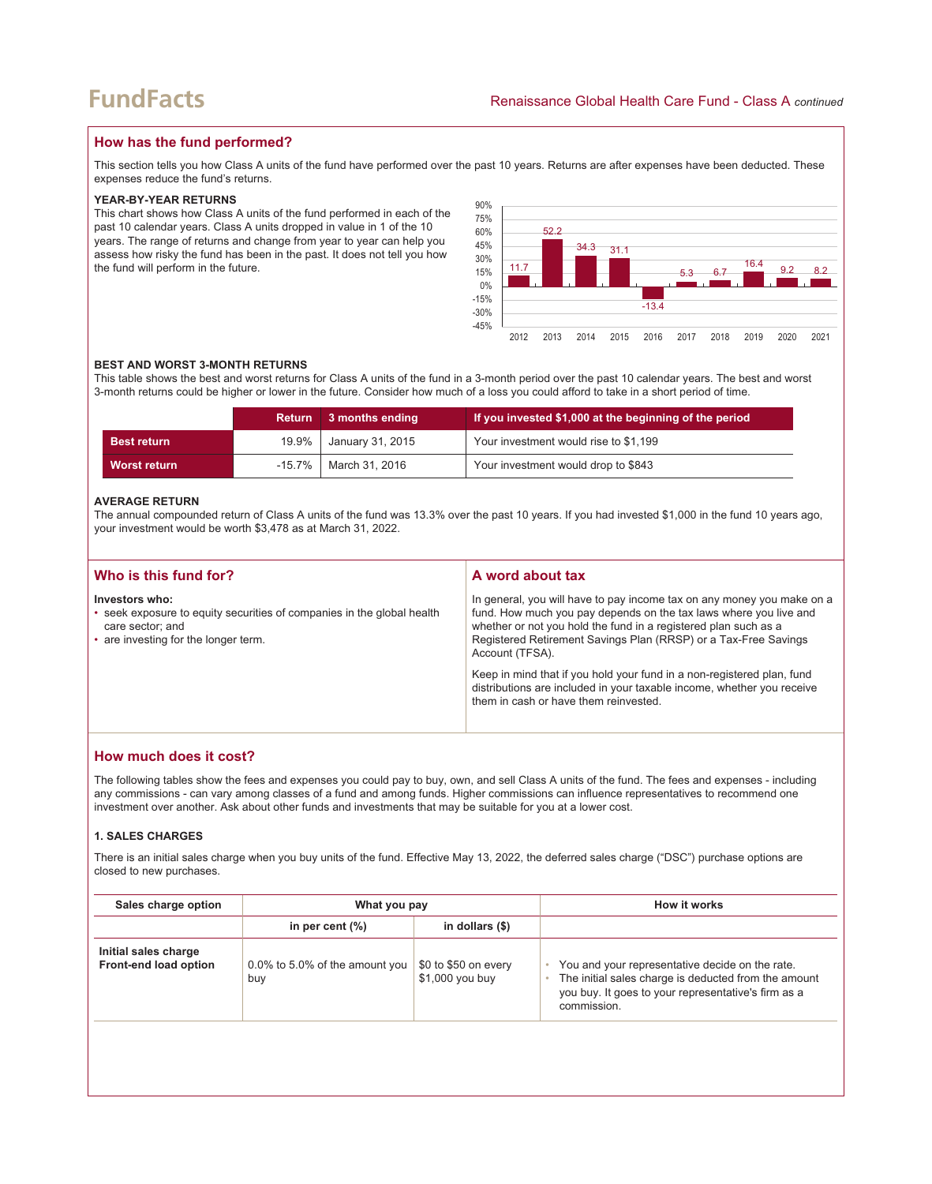### **How has the fund performed?**

This section tells you how Class A units of the fund have performed over the past 10 years. Returns are after expenses have been deducted. These expenses reduce the fund's returns.

#### **YEAR-BY-YEAR RETURNS**

This chart shows how Class A units of the fund performed in each of the past 10 calendar years. Class A units dropped in value in 1 of the 10 years. The range of returns and change from year to year can help you assess how risky the fund has been in the past. It does not tell you how the fund will perform in the future.



#### **BEST AND WORST 3-MONTH RETURNS**

This table shows the best and worst returns for Class A units of the fund in a 3-month period over the past 10 calendar years. The best and worst 3-month returns could be higher or lower in the future. Consider how much of a loss you could afford to take in a short period of time.

|                    | <b>Return</b> | 3 months ending            | If you invested \$1,000 at the beginning of the period |
|--------------------|---------------|----------------------------|--------------------------------------------------------|
| <b>Best return</b> | 19.9%         | January 31, 2015           | Your investment would rise to \$1,199                  |
| Worst return       |               | $-15.7\%$   March 31, 2016 | Your investment would drop to \$843                    |

#### **AVERAGE RETURN**

The annual compounded return of Class A units of the fund was 13.3% over the past 10 years. If you had invested \$1,000 in the fund 10 years ago, your investment would be worth \$3,478 as at March 31, 2022.

| Who is this fund for?                                                                                                                                | A word about tax                                                                                                                                                                                                                                                                                     |
|------------------------------------------------------------------------------------------------------------------------------------------------------|------------------------------------------------------------------------------------------------------------------------------------------------------------------------------------------------------------------------------------------------------------------------------------------------------|
| Investors who:<br>• seek exposure to equity securities of companies in the global health<br>care sector; and<br>• are investing for the longer term. | In general, you will have to pay income tax on any money you make on a<br>fund. How much you pay depends on the tax laws where you live and<br>whether or not you hold the fund in a registered plan such as a<br>Registered Retirement Savings Plan (RRSP) or a Tax-Free Savings<br>Account (TFSA). |
|                                                                                                                                                      | Keep in mind that if you hold your fund in a non-registered plan, fund<br>distributions are included in your taxable income, whether you receive<br>them in cash or have them reinvested.                                                                                                            |

### **How much does it cost?**

The following tables show the fees and expenses you could pay to buy, own, and sell Class A units of the fund. The fees and expenses - including any commissions - can vary among classes of a fund and among funds. Higher commissions can influence representatives to recommend one investment over another. Ask about other funds and investments that may be suitable for you at a lower cost.

#### **1. SALES CHARGES**

There is an initial sales charge when you buy units of the fund. Effective May 13, 2022, the deferred sales charge ("DSC") purchase options are closed to new purchases.

| Sales charge option                           | What you pay                          |                                         | How it works                                                                                                                                                                  |
|-----------------------------------------------|---------------------------------------|-----------------------------------------|-------------------------------------------------------------------------------------------------------------------------------------------------------------------------------|
|                                               | in per cent $(\%)$                    | in dollars $(\$)$                       |                                                                                                                                                                               |
| Initial sales charge<br>Front-end load option | 0.0% to 5.0% of the amount you<br>buy | \$0 to \$50 on every<br>\$1,000 you buy | You and your representative decide on the rate.<br>The initial sales charge is deducted from the amount<br>you buy. It goes to your representative's firm as a<br>commission. |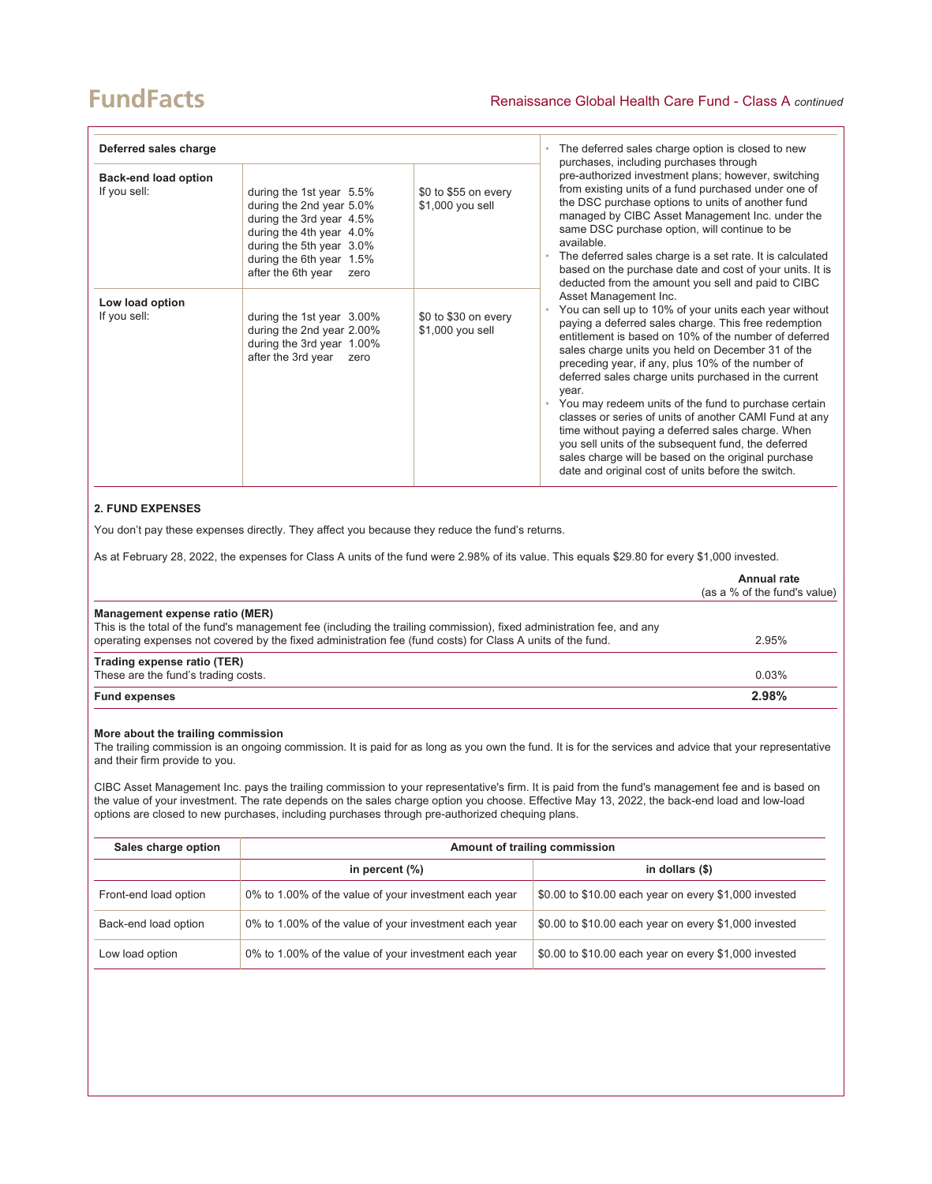## **FundFacts**

| Deferred sales charge                       |                                                                                                                                                                                                    | The deferred sales charge option is closed to new<br>purchases, including purchases through |                                                                                                                                                                                                                                                                                                                                                                                                                                                                                                                                                                                                                                                                                                                          |
|---------------------------------------------|----------------------------------------------------------------------------------------------------------------------------------------------------------------------------------------------------|---------------------------------------------------------------------------------------------|--------------------------------------------------------------------------------------------------------------------------------------------------------------------------------------------------------------------------------------------------------------------------------------------------------------------------------------------------------------------------------------------------------------------------------------------------------------------------------------------------------------------------------------------------------------------------------------------------------------------------------------------------------------------------------------------------------------------------|
| <b>Back-end load option</b><br>If you sell: | during the 1st year 5.5%<br>during the 2nd year 5.0%<br>during the 3rd year 4.5%<br>during the 4th year 4.0%<br>during the 5th year 3.0%<br>during the 6th year 1.5%<br>after the 6th year<br>zero | \$0 to \$55 on every<br>\$1,000 you sell                                                    | pre-authorized investment plans; however, switching<br>from existing units of a fund purchased under one of<br>the DSC purchase options to units of another fund<br>managed by CIBC Asset Management Inc. under the<br>same DSC purchase option, will continue to be<br>available.<br>The deferred sales charge is a set rate. It is calculated<br>based on the purchase date and cost of your units. It is<br>deducted from the amount you sell and paid to CIBC                                                                                                                                                                                                                                                        |
| Low load option<br>If you sell:             | during the 1st year 3.00%<br>during the 2nd year 2.00%<br>during the 3rd year 1.00%<br>after the 3rd year<br>zero                                                                                  | \$0 to \$30 on every<br>\$1,000 you sell                                                    | Asset Management Inc.<br>You can sell up to 10% of your units each year without<br>paying a deferred sales charge. This free redemption<br>entitlement is based on 10% of the number of deferred<br>sales charge units you held on December 31 of the<br>preceding year, if any, plus 10% of the number of<br>deferred sales charge units purchased in the current<br>year.<br>• You may redeem units of the fund to purchase certain<br>classes or series of units of another CAMI Fund at any<br>time without paying a deferred sales charge. When<br>you sell units of the subsequent fund, the deferred<br>sales charge will be based on the original purchase<br>date and original cost of units before the switch. |

#### **2. FUND EXPENSES**

You don't pay these expenses directly. They affect you because they reduce the fund's returns.

As at February 28, 2022, the expenses for Class A units of the fund were 2.98% of its value. This equals \$29.80 for every \$1,000 invested.

|                                                                                                                                                                                                                                                                       | Annual rate<br>(as a % of the fund's value) |
|-----------------------------------------------------------------------------------------------------------------------------------------------------------------------------------------------------------------------------------------------------------------------|---------------------------------------------|
| Management expense ratio (MER)<br>This is the total of the fund's management fee (including the trailing commission), fixed administration fee, and any<br>operating expenses not covered by the fixed administration fee (fund costs) for Class A units of the fund. | 2.95%                                       |
| Trading expense ratio (TER)<br>These are the fund's trading costs.                                                                                                                                                                                                    | 0.03%                                       |
| <b>Fund expenses</b>                                                                                                                                                                                                                                                  | 2.98%                                       |

#### **More about the trailing commission**

The trailing commission is an ongoing commission. It is paid for as long as you own the fund. It is for the services and advice that your representative and their firm provide to you.

CIBC Asset Management Inc. pays the trailing commission to your representative's firm. It is paid from the fund's management fee and is based on the value of your investment. The rate depends on the sales charge option you choose. Effective May 13, 2022, the back-end load and low-load options are closed to new purchases, including purchases through pre-authorized chequing plans.

| Sales charge option   | Amount of trailing commission                         |                                                       |  |
|-----------------------|-------------------------------------------------------|-------------------------------------------------------|--|
|                       | in percent $(\%)$                                     | in dollars $(\$)$                                     |  |
| Front-end load option | 0% to 1.00% of the value of your investment each year | \$0.00 to \$10.00 each year on every \$1,000 invested |  |
| Back-end load option  | 0% to 1.00% of the value of your investment each year | \$0.00 to \$10.00 each year on every \$1,000 invested |  |
| Low load option       | 0% to 1.00% of the value of your investment each year | \$0.00 to \$10.00 each year on every \$1,000 invested |  |